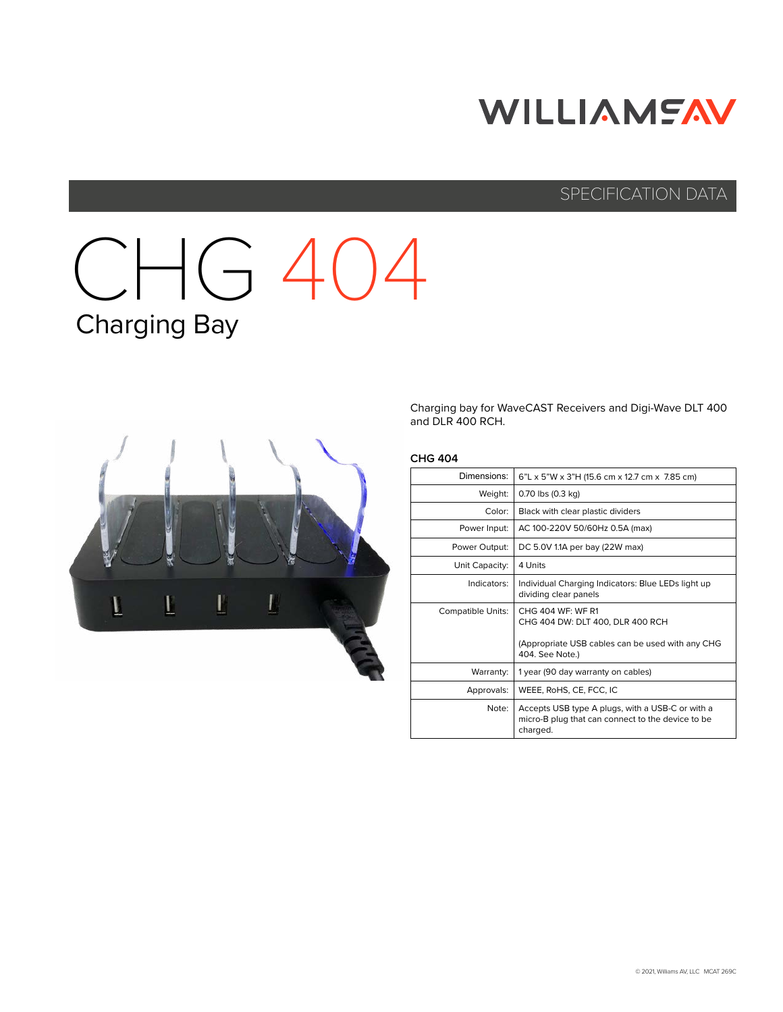# **WILLIAMFAV**

### SPECIFICATION DATA

# CHG 404 Charging Bay



Charging bay for WaveCAST Receivers and Digi-Wave DLT 400 and DLR 400 RCH.

### **CHG 404**

| 6"L x 5"W x 3"H (15.6 cm x 12.7 cm x 7.85 cm)                                                                     |
|-------------------------------------------------------------------------------------------------------------------|
| 0.70 lbs (0.3 kg)                                                                                                 |
| Black with clear plastic dividers                                                                                 |
| AC 100-220V 50/60Hz 0.5A (max)                                                                                    |
| DC 5.0V 1.1A per bay (22W max)                                                                                    |
| 4 Units                                                                                                           |
| Individual Charging Indicators: Blue LEDs light up<br>dividing clear panels                                       |
| CHG 404 WF: WF R1<br>CHG 404 DW: DLT 400, DLR 400 RCH                                                             |
| (Appropriate USB cables can be used with any CHG<br>404. See Note.)                                               |
| 1 year (90 day warranty on cables)                                                                                |
| WEEE, RoHS, CE, FCC, IC                                                                                           |
| Accepts USB type A plugs, with a USB-C or with a<br>micro-B plug that can connect to the device to be<br>charged. |
|                                                                                                                   |